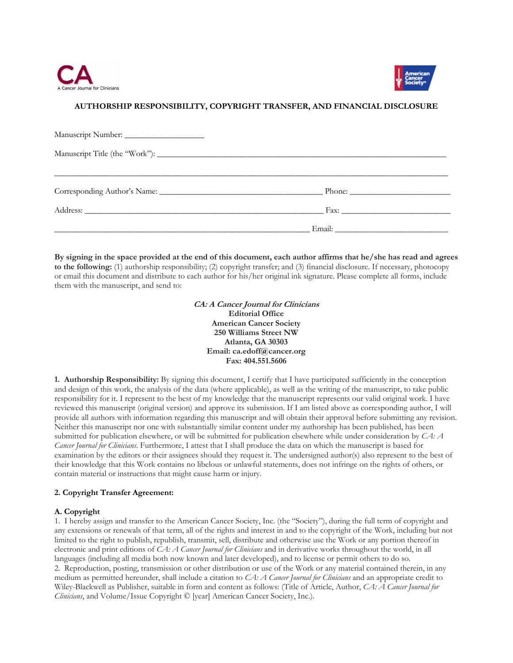



# **AUTHORSHIP RESPONSIBILITY, COPYRIGHT TRANSFER, AND FINANCIAL DISCLOSURE**

| Address: <u>Address:</u> Address: Address: Address: Address: Address: Address: Address: Address: Address: Address: Address: Address: Address: Address: Address: Address: Address: Address: Address: Address: Address: Address: Addr |  |
|-------------------------------------------------------------------------------------------------------------------------------------------------------------------------------------------------------------------------------------|--|
|                                                                                                                                                                                                                                     |  |

**By signing in the space provided at the end of this document, each author affirms that he/she has read and agrees to the following:** (1) authorship responsibility; (2) copyright transfer; and (3) financial disclosure. If necessary, photocopy or email this document and distribute to each author for his/her original ink signature. Please complete all forms, include them with the manuscript, and send to:

> **CA: A Cancer Journal for Clinicians Editorial Office American Cancer Society 250 Williams Street NW Atlanta, GA 30303**  Email: ca.edoff@cancer.org **Fax: 404.551.5606**

**1. Authorship Responsibility:** By signing this document, I certify that I have participated sufficiently in the conception and design of this work, the analysis of the data (where applicable), as well as the writing of the manuscript, to take public responsibility for it. I represent to the best of my knowledge that the manuscript represents our valid original work. I have reviewed this manuscript (original version) and approve its submission. If I am listed above as corresponding author, I will provide all authors with information regarding this manuscript and will obtain their approval before submitting any revision. Neither this manuscript nor one with substantially similar content under my authorship has been published, has been submitted for publication elsewhere, or will be submitted for publication elsewhere while under consideration by *CA: A Cancer Journal for Clinicians*. Furthermore, I attest that I shall produce the data on which the manuscript is based for examination by the editors or their assignees should they request it. The undersigned author(s) also represent to the best of their knowledge that this Work contains no libelous or unlawful statements, does not infringe on the rights of others, or contain material or instructions that might cause harm or injury.

## **2. Copyright Transfer Agreement:**

## **A. Copyright**

1. I hereby assign and transfer to the American Cancer Society, Inc. (the "Society"), during the full term of copyright and any extensions or renewals of that term, all of the rights and interest in and to the copyright of the Work, including but not limited to the right to publish, republish, transmit, sell, distribute and otherwise use the Work or any portion thereof in electronic and print editions of *CA: A Cancer Journal for Clinicians* and in derivative works throughout the world, in all languages (including all media both now known and later developed), and to license or permit others to do so. 2. Reproduction, posting, transmission or other distribution or use of the Work or any material contained therein, in any medium as permitted hereunder, shall include a citation to *CA: A Cancer Journal for Clinicians* and an appropriate credit to Wiley-Blackwell as Publisher, suitable in form and content as follows: (Title of Article, Author, *CA: A Cancer Journal for Clinicians*, and Volume/Issue Copyright © [year] American Cancer Society, Inc.).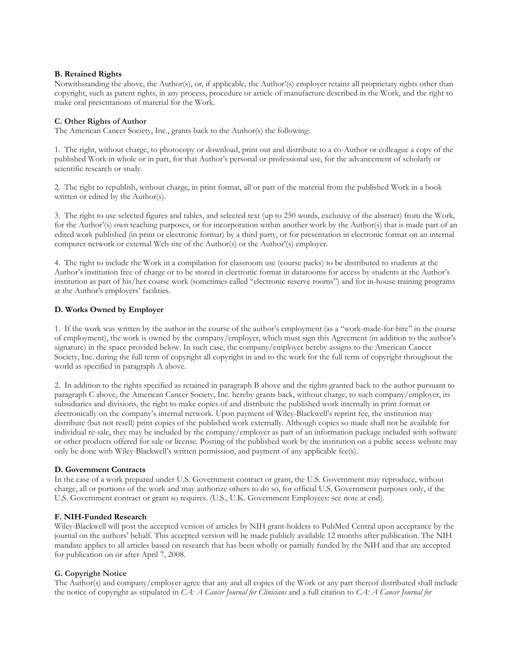## **B. Retained Rights**

Notwithstanding the above, the Author(s), or, if applicable, the Author'(s) employer retains all proprietary rights other than copyright, such as patent rights, in any process, procedure or article of manufacture described in the Work, and the right to make oral presentations of material for the Work.

#### **C. Other Rights of Author**

The American Cancer Society, Inc., grants back to the Author(s) the following:

1. The right, without charge, to photocopy or download, print out and distribute to a co-Author or colleague a copy of the published Work in whole or in part, for that Author's personal or professional use, for the advancement of scholarly or scientific research or study.

2. The right to republish, without charge, in print format, all or part of the material from the published Work in a book written or edited by the Author(s).

3. The right to use selected figures and tables, and selected text (up to 250 words, exclusive of the abstract) from the Work, for the Author'(s) own teaching purposes, or for incorporation within another work by the Author(s) that is made part of an edited work published (in print or electronic format) by a third party, or for presentation in electronic format on an internal computer network or external Web site of the Author(s) or the Author'(s) employer.

4. The right to include the Work in a compilation for classroom use (course packs) to be distributed to students at the Author's institution free of charge or to be stored in electronic format in datarooms for access by students at the Author's institution as part of his/her course work (sometimes called "electronic reserve rooms") and for in-house training programs at the Author's employers' facilities.

#### **D. Works Owned by Employer**

1. If the work was written by the author in the course of the author's employment (as a ''work-made-for-hire'' in the course of employment), the work is owned by the company/employer, which must sign this Agreement (in addition to the author's signature) in the space provided below. In such case, the company/employer hereby assigns to the American Cancer Society, Inc. during the full term of copyright all copyright in and to the work for the full term of copyright throughout the world as specified in paragraph A above.

2. In addition to the rights specified as retained in paragraph B above and the rights granted back to the author pursuant to paragraph C above, the American Cancer Society, Inc. hereby grants back, without charge, to such company/employer, its subsidiaries and divisions, the right to make copies of and distribute the published work internally in print format or electronically on the company's internal network. Upon payment of Wiley-Blackwell's reprint fee, the institution may distribute (but not resell) print copies of the published work externally. Although copies so made shall not be available for individual re-sale, they may be included by the company/employer as part of an information package included with software or other products offered for sale or license. Posting of the published work by the institution on a public access website may only be done with Wiley-Blackwell's written permission, and payment of any applicable fee(s).

## **D. Government Contracts**

In the case of a work prepared under U.S. Government contract or grant, the U.S. Government may reproduce, without charge, all or portions of the work and may authorize others to do so, for official U.S. Government purposes only, if the U.S. Government contract or grant so requires. (U.S., U.K. Government Employees: see note at end).

## **F. NIH-Funded Research**

Wiley-Blackwell will post the accepted version of articles by NIH grant-holders to PubMed Central upon acceptance by the journal on the authors' behalf. This accepted version will be made publicly available 12 months after publication. The NIH mandate applies to all articles based on research that has been wholly or partially funded by the NIH and that are accepted for publication on or after April 7, 2008.

## **G. Copyright Notice**

The Author(s) and company/employer agree that any and all copies of the Work or any part thereof distributed shall include the notice of copyright as stipulated in *CA: A Cancer Journal for Clinicians* and a full citation to *CA: A Cancer Journal for*